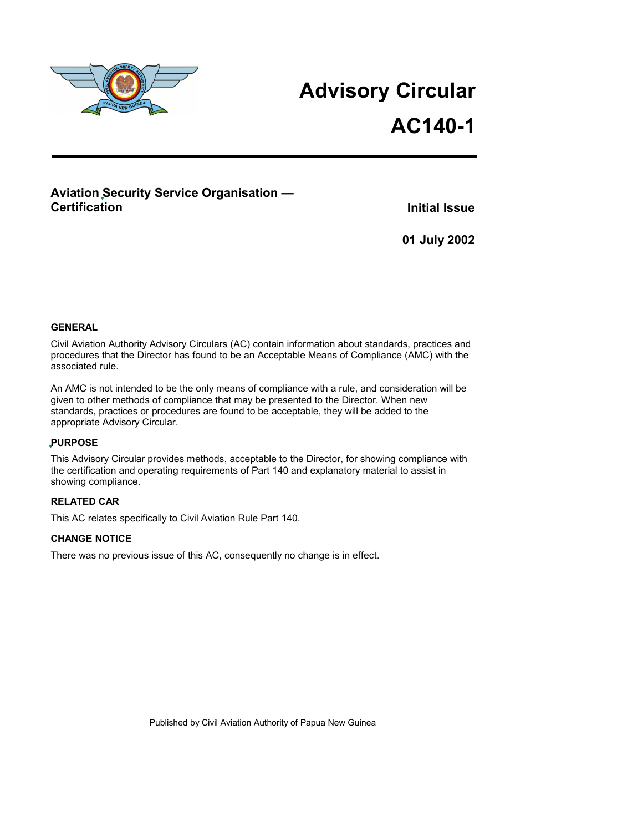

# **Advisory Circular**

# **AC140-1**

# **Aviation Security Service Organisation —**

**Initial Issue** 

**01 July 2002** 

#### **GENERAL**

Civil Aviation Authority Advisory Circulars (AC) contain information about standards, practices and procedures that the Director has found to be an Acceptable Means of Compliance (AMC) with the associated rule.

An AMC is not intended to be the only means of compliance with a rule, and consideration will be given to other methods of compliance that may be presented to the Director. When new standards, practices or procedures are found to be acceptable, they will be added to the appropriate Advisory Circular.

#### **PURPOSE**

This Advisory Circular provides methods, acceptable to the Director, for showing compliance with the certification and operating requirements of Part 140 and explanatory material to assist in showing compliance.

#### **RELATED CAR**

This AC relates specifically to Civil Aviation Rule Part 140.

#### **CHANGE NOTICE**

There was no previous issue of this AC, consequently no change is in effect.

Published by Civil Aviation Authority of Papua New Guinea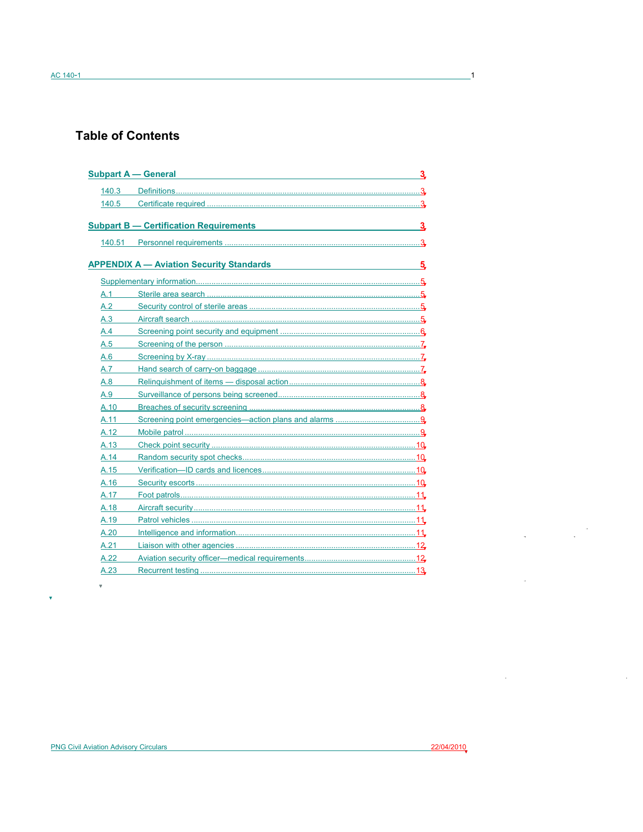## **Table of Contents**

| 140.3 |                                                                                                                                                                         |  |
|-------|-------------------------------------------------------------------------------------------------------------------------------------------------------------------------|--|
| 140.5 |                                                                                                                                                                         |  |
|       | Subpart B - Certification Requirements Manual Manual Manual Manual Manual Manual Manual Manual Manual Manual Ma                                                         |  |
|       |                                                                                                                                                                         |  |
|       | <b>APPENDIX A — Aviation Security Standards</b>                                                                                                                         |  |
|       |                                                                                                                                                                         |  |
| A.1   |                                                                                                                                                                         |  |
| A.2   |                                                                                                                                                                         |  |
| A.3   |                                                                                                                                                                         |  |
| A.4   |                                                                                                                                                                         |  |
| A.5   | Screening of the person $\ldots$ $\ldots$ $\ldots$ $\ldots$ $\ldots$ $\ldots$ $\ldots$ $\ldots$ $\ldots$ $\ldots$ $\ldots$ $\ldots$ $\ldots$ $\ldots$ $\ldots$ $\ldots$ |  |
| A.6   |                                                                                                                                                                         |  |
| A.7   |                                                                                                                                                                         |  |
| A.8   |                                                                                                                                                                         |  |
| A.9   |                                                                                                                                                                         |  |
| A.10  |                                                                                                                                                                         |  |
| A.11  |                                                                                                                                                                         |  |
| A.12  |                                                                                                                                                                         |  |
| A.13  |                                                                                                                                                                         |  |
| A.14  |                                                                                                                                                                         |  |
| A.15  |                                                                                                                                                                         |  |
| A.16  |                                                                                                                                                                         |  |
| A.17  |                                                                                                                                                                         |  |
| A.18  |                                                                                                                                                                         |  |
| A.19  |                                                                                                                                                                         |  |
| A.20  |                                                                                                                                                                         |  |
| A.21  |                                                                                                                                                                         |  |
| A.22  |                                                                                                                                                                         |  |
| A.23  |                                                                                                                                                                         |  |

 $\bar{\mathbf{v}}$ 

 $\sim 10^6$ 

 $\overline{\phantom{a}}$ 

 $\bar{z}$ 

 $\mathcal{A}^{\mathcal{A}}$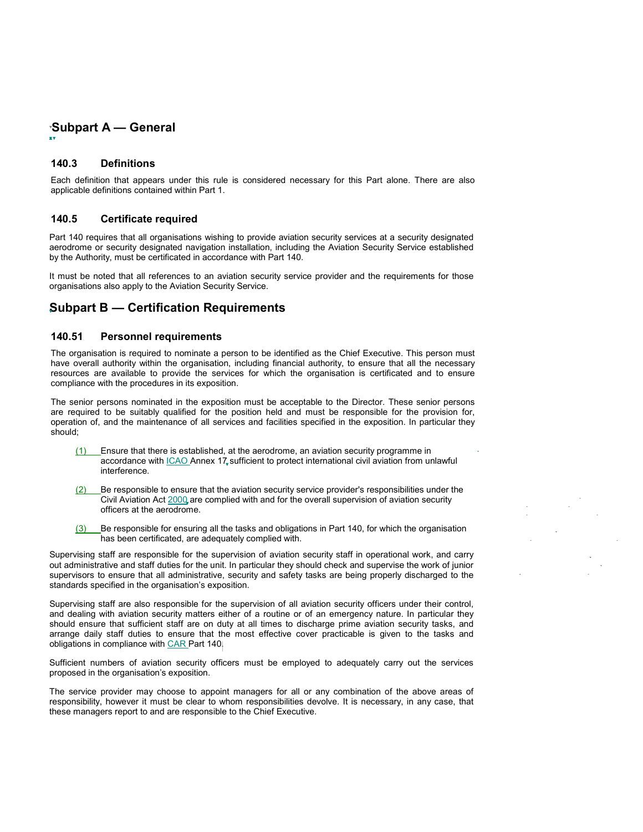### **Subpart A — General**

#### **140.3 Definitions**

Each definition that appears under this rule is considered necessary for this Part alone. There are also applicable definitions contained within Part 1.

#### **140.5 Certificate required**

Part 140 requires that all organisations wishing to provide aviation security services at a security designated aerodrome or security designated navigation installation, including the Aviation Security Service established by the Authority, must be certificated in accordance with Part 140.

It must be noted that all references to an aviation security service provider and the requirements for those organisations also apply to the Aviation Security Service.

#### **Subpart B — Certification Requirements**

#### **140.51 Personnel requirements**

The organisation is required to nominate a person to be identified as the Chief Executive. This person must have overall authority within the organisation, including financial authority, to ensure that all the necessary resources are available to provide the services for which the organisation is certificated and to ensure compliance with the procedures in its exposition.

The senior persons nominated in the exposition must be acceptable to the Director. These senior persons are required to be suitably qualified for the position held and must be responsible for the provision for, operation of, and the maintenance of all services and facilities specified in the exposition. In particular they should;

- (1) Ensure that there is established, at the aerodrome, an aviation security programme in accordance with ICAO Annex 17 sufficient to protect international civil aviation from unlawful interference.
- Be responsible to ensure that the aviation security service provider's responsibilities under the Civil Aviation Act 2000 are complied with and for the overall supervision of aviation security officers at the aerodrome.
- (3) Be responsible for ensuring all the tasks and obligations in Part 140, for which the organisation has been certificated, are adequately complied with.

Supervising staff are responsible for the supervision of aviation security staff in operational work, and carry out administrative and staff duties for the unit. In particular they should check and supervise the work of junior supervisors to ensure that all administrative, security and safety tasks are being properly discharged to the standards specified in the organisation's exposition.

Supervising staff are also responsible for the supervision of all aviation security officers under their control, and dealing with aviation security matters either of a routine or of an emergency nature. In particular they should ensure that sufficient staff are on duty at all times to discharge prime aviation security tasks, and arrange daily staff duties to ensure that the most effective cover practicable is given to the tasks and obligations in compliance with CAR Part 140.

Sufficient numbers of aviation security officers must be employed to adequately carry out the services proposed in the organisation's exposition.

The service provider may choose to appoint managers for all or any combination of the above areas of responsibility, however it must be clear to whom responsibilities devolve. It is necessary, in any case, that these managers report to and are responsible to the Chief Executive.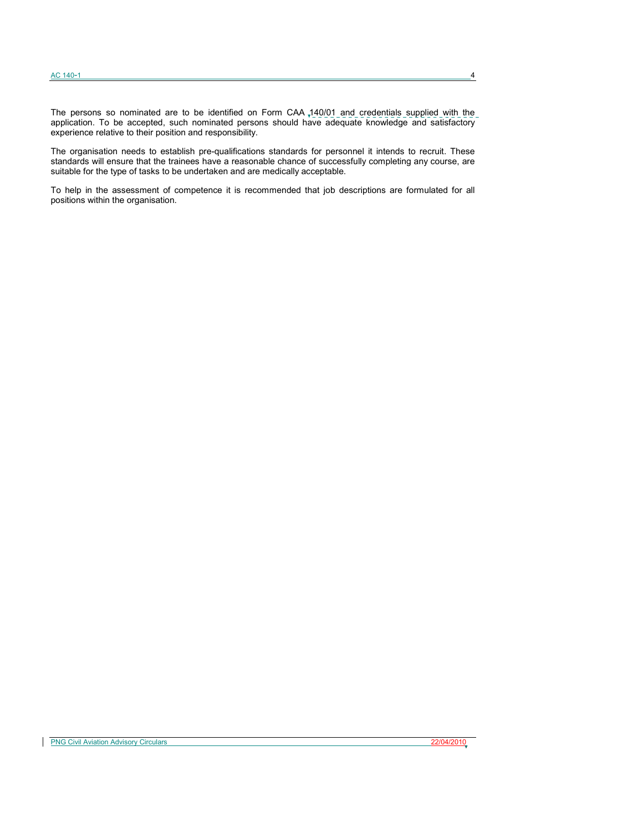The persons so nominated are to be identified on Form CAA 140/01 and credentials supplied with the application. To be accepted, such nominated persons should have adequate knowledge and satisfactory experience relative to their position and responsibility.

The organisation needs to establish pre-qualifications standards for personnel it intends to recruit. These standards will ensure that the trainees have a reasonable chance of successfully completing any course, are suitable for the type of tasks to be undertaken and are medically acceptable.

To help in the assessment of competence it is recommended that job descriptions are formulated for all positions within the organisation.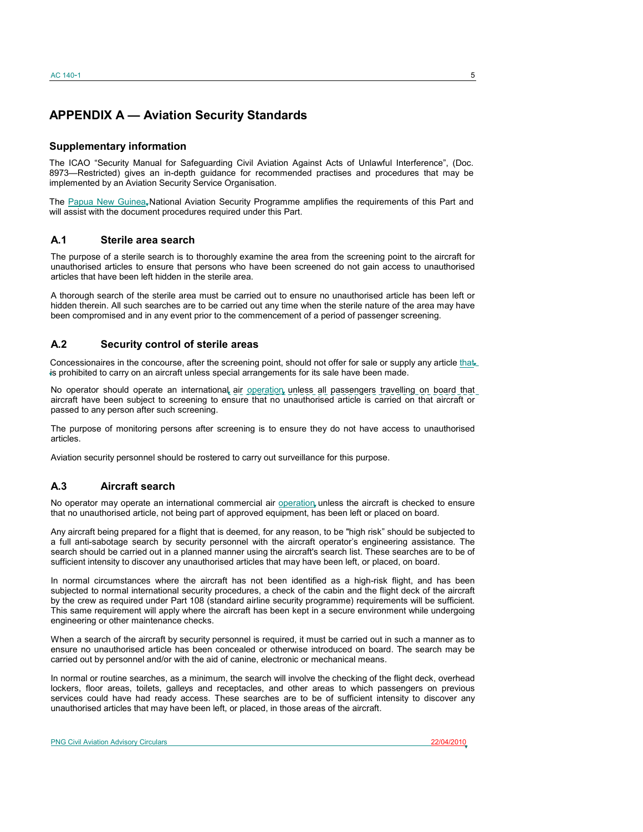### **APPENDIX A — Aviation Security Standards**

#### **Supplementary information**

The ICAO "Security Manual for Safeguarding Civil Aviation Against Acts of Unlawful Interference", (Doc. 8973—Restricted) gives an in-depth guidance for recommended practises and procedures that may be implemented by an Aviation Security Service Organisation.

The Papua New Guinea, National Aviation Security Programme amplifies the requirements of this Part and will assist with the document procedures required under this Part.

#### **A.1 Sterile area search**

The purpose of a sterile search is to thoroughly examine the area from the screening point to the aircraft for unauthorised articles to ensure that persons who have been screened do not gain access to unauthorised articles that have been left hidden in the sterile area.

A thorough search of the sterile area must be carried out to ensure no unauthorised article has been left or hidden therein. All such searches are to be carried out any time when the sterile nature of the area may have been compromised and in any event prior to the commencement of a period of passenger screening.

#### **A.2 Security control of sterile areas**

Concessionaires in the concourse, after the screening point, should not offer for sale or supply any article that. is prohibited to carry on an aircraft unless special arrangements for its sale have been made.

No operator should operate an international air operation unless all passengers travelling on board that aircraft have been subject to screening to ensure that no unauthorised article is carried on that aircraft or passed to any person after such screening.

The purpose of monitoring persons after screening is to ensure they do not have access to unauthorised articles.

Aviation security personnel should be rostered to carry out surveillance for this purpose.

#### **A.3 Aircraft search**

No operator may operate an international commercial air operation, unless the aircraft is checked to ensure that no unauthorised article, not being part of approved equipment, has been left or placed on board.

Any aircraft being prepared for a flight that is deemed, for any reason, to be "high risk" should be subjected to a full anti-sabotage search by security personnel with the aircraft operator's engineering assistance. The search should be carried out in a planned manner using the aircraft's search list. These searches are to be of sufficient intensity to discover any unauthorised articles that may have been left, or placed, on board.

In normal circumstances where the aircraft has not been identified as a high-risk flight, and has been subjected to normal international security procedures, a check of the cabin and the flight deck of the aircraft by the crew as required under Part 108 (standard airline security programme) requirements will be sufficient. This same requirement will apply where the aircraft has been kept in a secure environment while undergoing engineering or other maintenance checks.

When a search of the aircraft by security personnel is required, it must be carried out in such a manner as to ensure no unauthorised article has been concealed or otherwise introduced on board. The search may be carried out by personnel and/or with the aid of canine, electronic or mechanical means.

In normal or routine searches, as a minimum, the search will involve the checking of the flight deck, overhead lockers, floor areas, toilets, galleys and receptacles, and other areas to which passengers on previous services could have had ready access. These searches are to be of sufficient intensity to discover any unauthorised articles that may have been left, or placed, in those areas of the aircraft.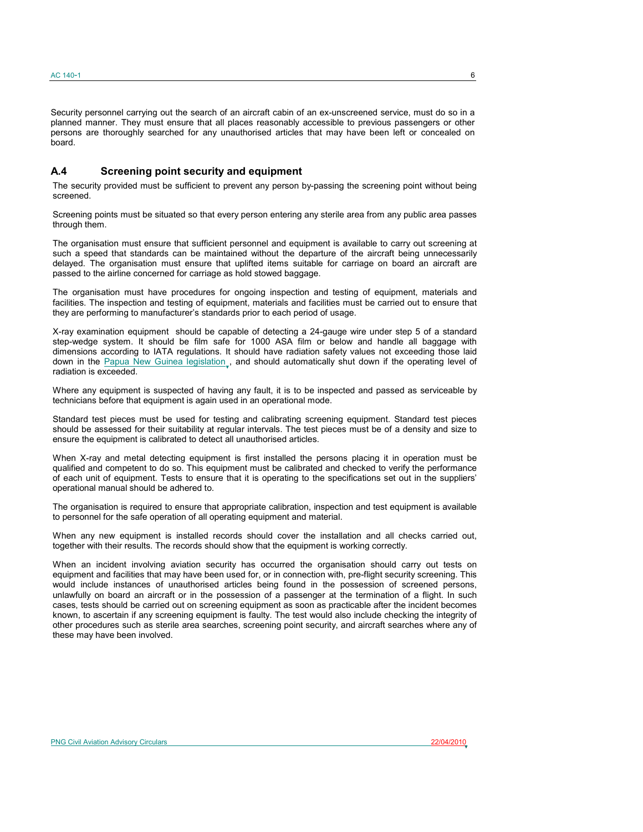Security personnel carrying out the search of an aircraft cabin of an ex-unscreened service, must do so in a planned manner. They must ensure that all places reasonably accessible to previous passengers or other persons are thoroughly searched for any unauthorised articles that may have been left or concealed on board.

#### **A.4 Screening point security and equipment**

The security provided must be sufficient to prevent any person by-passing the screening point without being screened.

Screening points must be situated so that every person entering any sterile area from any public area passes through them.

The organisation must ensure that sufficient personnel and equipment is available to carry out screening at such a speed that standards can be maintained without the departure of the aircraft being unnecessarily delayed. The organisation must ensure that uplifted items suitable for carriage on board an aircraft are passed to the airline concerned for carriage as hold stowed baggage.

The organisation must have procedures for ongoing inspection and testing of equipment, materials and facilities. The inspection and testing of equipment, materials and facilities must be carried out to ensure that they are performing to manufacturer's standards prior to each period of usage.

X-ray examination equipment should be capable of detecting a 24-gauge wire under step 5 of a standard step-wedge system. It should be film safe for 1000 ASA film or below and handle all baggage with dimensions according to IATA regulations. It should have radiation safety values not exceeding those laid down in the Papua New Guinea legislation , and should automatically shut down if the operating level of radiation is exceeded.

Where any equipment is suspected of having any fault, it is to be inspected and passed as serviceable by technicians before that equipment is again used in an operational mode.

Standard test pieces must be used for testing and calibrating screening equipment. Standard test pieces should be assessed for their suitability at regular intervals. The test pieces must be of a density and size to ensure the equipment is calibrated to detect all unauthorised articles.

When X-ray and metal detecting equipment is first installed the persons placing it in operation must be qualified and competent to do so. This equipment must be calibrated and checked to verify the performance of each unit of equipment. Tests to ensure that it is operating to the specifications set out in the suppliers' operational manual should be adhered to.

The organisation is required to ensure that appropriate calibration, inspection and test equipment is available to personnel for the safe operation of all operating equipment and material.

When any new equipment is installed records should cover the installation and all checks carried out, together with their results. The records should show that the equipment is working correctly.

When an incident involving aviation security has occurred the organisation should carry out tests on equipment and facilities that may have been used for, or in connection with, pre-flight security screening. This would include instances of unauthorised articles being found in the possession of screened persons, unlawfully on board an aircraft or in the possession of a passenger at the termination of a flight. In such cases, tests should be carried out on screening equipment as soon as practicable after the incident becomes known, to ascertain if any screening equipment is faulty. The test would also include checking the integrity of other procedures such as sterile area searches, screening point security, and aircraft searches where any of these may have been involved.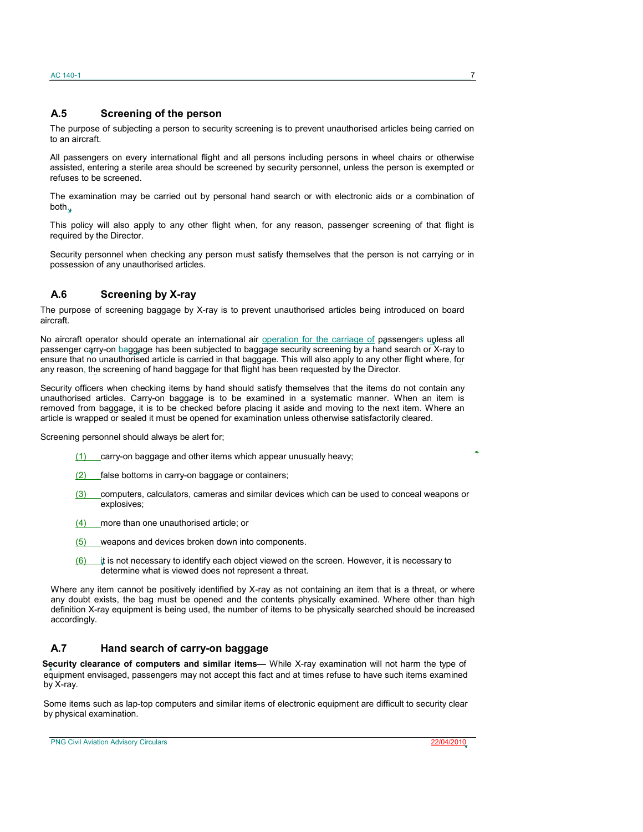#### **A.5 Screening of the person**

The purpose of subjecting a person to security screening is to prevent unauthorised articles being carried on to an aircraft.

All passengers on every international flight and all persons including persons in wheel chairs or otherwise assisted, entering a sterile area should be screened by security personnel, unless the person is exempted or refuses to be screened.

The examination may be carried out by personal hand search or with electronic aids or a combination of both..

This policy will also apply to any other flight when, for any reason, passenger screening of that flight is required by the Director.

Security personnel when checking any person must satisfy themselves that the person is not carrying or in possession of any unauthorised articles.

#### **A.6 Screening by X-ray**

The purpose of screening baggage by X-ray is to prevent unauthorised articles being introduced on board aircraft.

No aircraft operator should operate an international air operation for the carriage of passengers unless all passenger carry-on baggage has been subjected to baggage security screening by a hand search or X-ray to ensure that no unauthorised article is carried in that baggage. This will also apply to any other flight where, for any reason, the screening of hand baggage for that flight has been requested by the Director.

Security officers when checking items by hand should satisfy themselves that the items do not contain any unauthorised articles. Carry-on baggage is to be examined in a systematic manner. When an item is removed from baggage, it is to be checked before placing it aside and moving to the next item. Where an article is wrapped or sealed it must be opened for examination unless otherwise satisfactorily cleared.

Screening personnel should always be alert for;

- (1) carry-on baggage and other items which appear unusually heavy;
- (2) false bottoms in carry-on baggage or containers;
- (3) computers, calculators, cameras and similar devices which can be used to conceal weapons or explosives;
- (4) more than one unauthorised article; or
- (5) weapons and devices broken down into components.
- (6) it is not necessary to identify each object viewed on the screen. However, it is necessary to determine what is viewed does not represent a threat.

Where any item cannot be positively identified by X-ray as not containing an item that is a threat, or where any doubt exists, the bag must be opened and the contents physically examined. Where other than high definition X-ray equipment is being used, the number of items to be physically searched should be increased accordingly.

#### **A.7 Hand search of carry-on baggage**

**Security clearance of computers and similar items—** While X-ray examination will not harm the type of equipment envisaged, passengers may not accept this fact and at times refuse to have such items examined by X-ray.

Some items such as lap-top computers and similar items of electronic equipment are difficult to security clear by physical examination.

PNG Civil Aviation Advisory Circulars 22/04/2010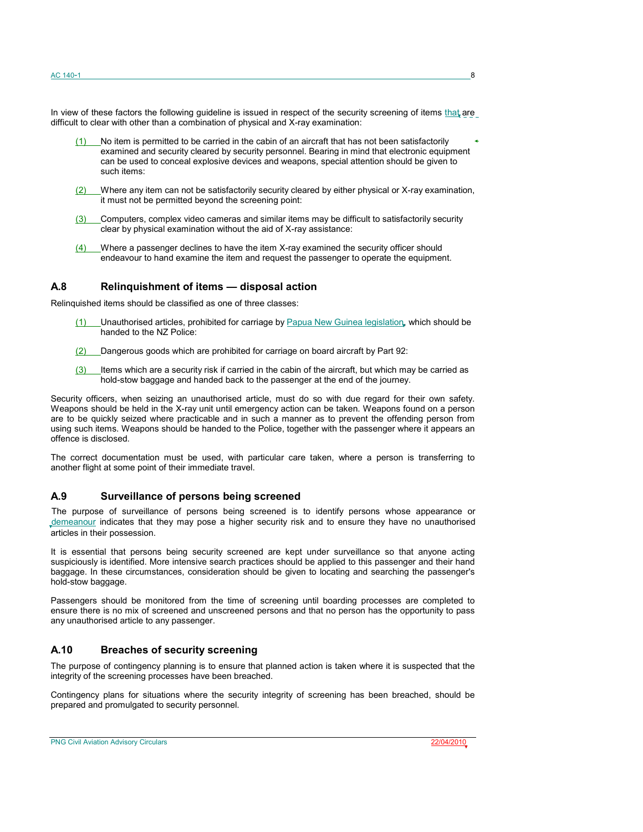In view of these factors the following guideline is issued in respect of the security screening of items that are difficult to clear with other than a combination of physical and X-ray examination:

- No item is permitted to be carried in the cabin of an aircraft that has not been satisfactorily examined and security cleared by security personnel. Bearing in mind that electronic equipment can be used to conceal explosive devices and weapons, special attention should be given to such items:
- (2) Where any item can not be satisfactorily security cleared by either physical or X-ray examination, it must not be permitted beyond the screening point:
- (3) Computers, complex video cameras and similar items may be difficult to satisfactorily security clear by physical examination without the aid of X-ray assistance:
- $(4)$  Where a passenger declines to have the item X-ray examined the security officer should endeavour to hand examine the item and request the passenger to operate the equipment.

#### **A.8 Relinquishment of items — disposal action**

Relinquished items should be classified as one of three classes:

- (1) Unauthorised articles, prohibited for carriage by Papua New Guinea legislation, which should be handed to the NZ Police:
- (2) Dangerous goods which are prohibited for carriage on board aircraft by Part 92:
- (3) Items which are a security risk if carried in the cabin of the aircraft, but which may be carried as hold-stow baggage and handed back to the passenger at the end of the journey.

Security officers, when seizing an unauthorised article, must do so with due regard for their own safety. Weapons should be held in the X-ray unit until emergency action can be taken. Weapons found on a person are to be quickly seized where practicable and in such a manner as to prevent the offending person from using such items. Weapons should be handed to the Police, together with the passenger where it appears an offence is disclosed.

The correct documentation must be used, with particular care taken, where a person is transferring to another flight at some point of their immediate travel.

#### **A.9 Surveillance of persons being screened**

The purpose of surveillance of persons being screened is to identify persons whose appearance or demeanour indicates that they may pose a higher security risk and to ensure they have no unauthorised articles in their possession.

It is essential that persons being security screened are kept under surveillance so that anyone acting suspiciously is identified. More intensive search practices should be applied to this passenger and their hand baggage. In these circumstances, consideration should be given to locating and searching the passenger's hold-stow baggage.

Passengers should be monitored from the time of screening until boarding processes are completed to ensure there is no mix of screened and unscreened persons and that no person has the opportunity to pass any unauthorised article to any passenger.

#### **A.10 Breaches of security screening**

The purpose of contingency planning is to ensure that planned action is taken where it is suspected that the integrity of the screening processes have been breached.

Contingency plans for situations where the security integrity of screening has been breached, should be prepared and promulgated to security personnel.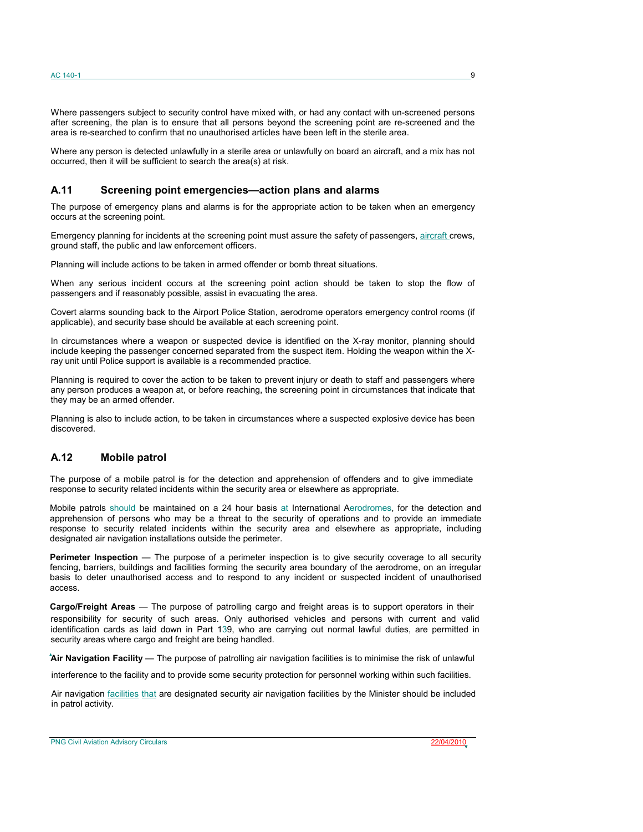Where passengers subject to security control have mixed with, or had any contact with un-screened persons after screening, the plan is to ensure that all persons beyond the screening point are re-screened and the area is re-searched to confirm that no unauthorised articles have been left in the sterile area.

Where any person is detected unlawfully in a sterile area or unlawfully on board an aircraft, and a mix has not occurred, then it will be sufficient to search the area(s) at risk.

#### **A.11 Screening point emergencies—action plans and alarms**

The purpose of emergency plans and alarms is for the appropriate action to be taken when an emergency occurs at the screening point.

Emergency planning for incidents at the screening point must assure the safety of passengers, aircraft crews, ground staff, the public and law enforcement officers.

Planning will include actions to be taken in armed offender or bomb threat situations.

When any serious incident occurs at the screening point action should be taken to stop the flow of passengers and if reasonably possible, assist in evacuating the area.

Covert alarms sounding back to the Airport Police Station, aerodrome operators emergency control rooms (if applicable), and security base should be available at each screening point.

In circumstances where a weapon or suspected device is identified on the X-ray monitor, planning should include keeping the passenger concerned separated from the suspect item. Holding the weapon within the Xray unit until Police support is available is a recommended practice.

Planning is required to cover the action to be taken to prevent injury or death to staff and passengers where any person produces a weapon at, or before reaching, the screening point in circumstances that indicate that they may be an armed offender.

Planning is also to include action, to be taken in circumstances where a suspected explosive device has been discovered.

#### **A.12 Mobile patrol**

The purpose of a mobile patrol is for the detection and apprehension of offenders and to give immediate response to security related incidents within the security area or elsewhere as appropriate.

Mobile patrols should be maintained on a 24 hour basis at International Aerodromes, for the detection and apprehension of persons who may be a threat to the security of operations and to provide an immediate response to security related incidents within the security area and elsewhere as appropriate, including designated air navigation installations outside the perimeter.

**Perimeter Inspection** — The purpose of a perimeter inspection is to give security coverage to all security fencing, barriers, buildings and facilities forming the security area boundary of the aerodrome, on an irregular basis to deter unauthorised access and to respond to any incident or suspected incident of unauthorised access.

**Cargo/Freight Areas** — The purpose of patrolling cargo and freight areas is to support operators in their responsibility for security of such areas. Only authorised vehicles and persons with current and valid identification cards as laid down in Part 139, who are carrying out normal lawful duties, are permitted in security areas where cargo and freight are being handled.

**Air Navigation Facility** — The purpose of patrolling air navigation facilities is to minimise the risk of unlawful

interference to the facility and to provide some security protection for personnel working within such facilities.

Air navigation facilities that are designated security air navigation facilities by the Minister should be included in patrol activity.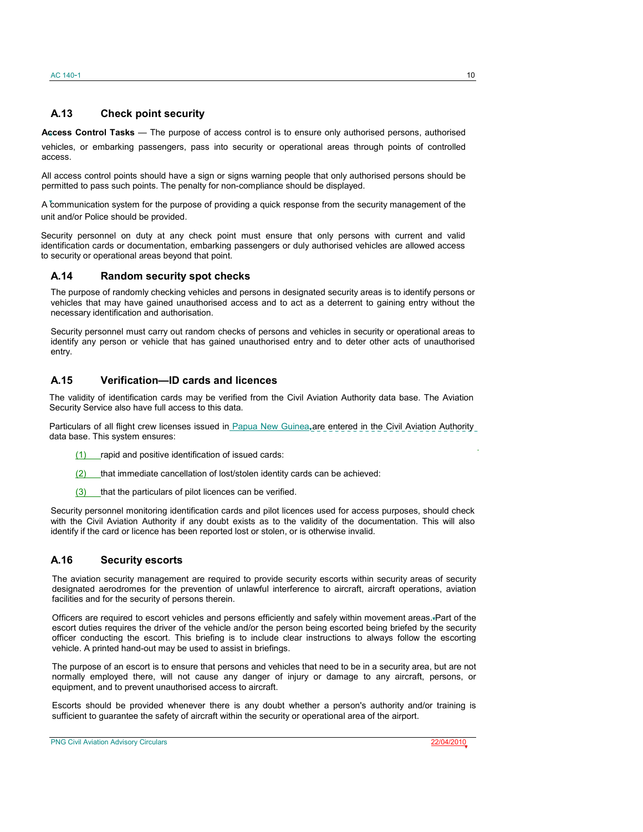#### **A.13 Check point security**

**Access Control Tasks** — The purpose of access control is to ensure only authorised persons, authorised

vehicles, or embarking passengers, pass into security or operational areas through points of controlled access.

All access control points should have a sign or signs warning people that only authorised persons should be permitted to pass such points. The penalty for non-compliance should be displayed.

A communication system for the purpose of providing a quick response from the security management of the unit and/or Police should be provided.

Security personnel on duty at any check point must ensure that only persons with current and valid identification cards or documentation, embarking passengers or duly authorised vehicles are allowed access to security or operational areas beyond that point.

#### **A.14 Random security spot checks**

The purpose of randomly checking vehicles and persons in designated security areas is to identify persons or vehicles that may have gained unauthorised access and to act as a deterrent to gaining entry without the necessary identification and authorisation.

Security personnel must carry out random checks of persons and vehicles in security or operational areas to identify any person or vehicle that has gained unauthorised entry and to deter other acts of unauthorised entry.

#### **A.15 Verification—ID cards and licences**

The validity of identification cards may be verified from the Civil Aviation Authority data base. The Aviation Security Service also have full access to this data.

Particulars of all flight crew licenses issued in Papua New Guinea, are entered in the Civil Aviation Authority data base. This system ensures:

- (1) rapid and positive identification of issued cards:
- \_that immediate cancellation of lost/stolen identity cards can be achieved:
- (3) that the particulars of pilot licences can be verified.

Security personnel monitoring identification cards and pilot licences used for access purposes, should check with the Civil Aviation Authority if any doubt exists as to the validity of the documentation. This will also identify if the card or licence has been reported lost or stolen, or is otherwise invalid.

#### **A.16 Security escorts**

The aviation security management are required to provide security escorts within security areas of security designated aerodromes for the prevention of unlawful interference to aircraft, aircraft operations, aviation facilities and for the security of persons therein.

Officers are required to escort vehicles and persons efficiently and safely within movement areas. Part of the escort duties requires the driver of the vehicle and/or the person being escorted being briefed by the security officer conducting the escort. This briefing is to include clear instructions to always follow the escorting vehicle. A printed hand-out may be used to assist in briefings.

The purpose of an escort is to ensure that persons and vehicles that need to be in a security area, but are not normally employed there, will not cause any danger of injury or damage to any aircraft, persons, or equipment, and to prevent unauthorised access to aircraft.

Escorts should be provided whenever there is any doubt whether a person's authority and/or training is sufficient to guarantee the safety of aircraft within the security or operational area of the airport.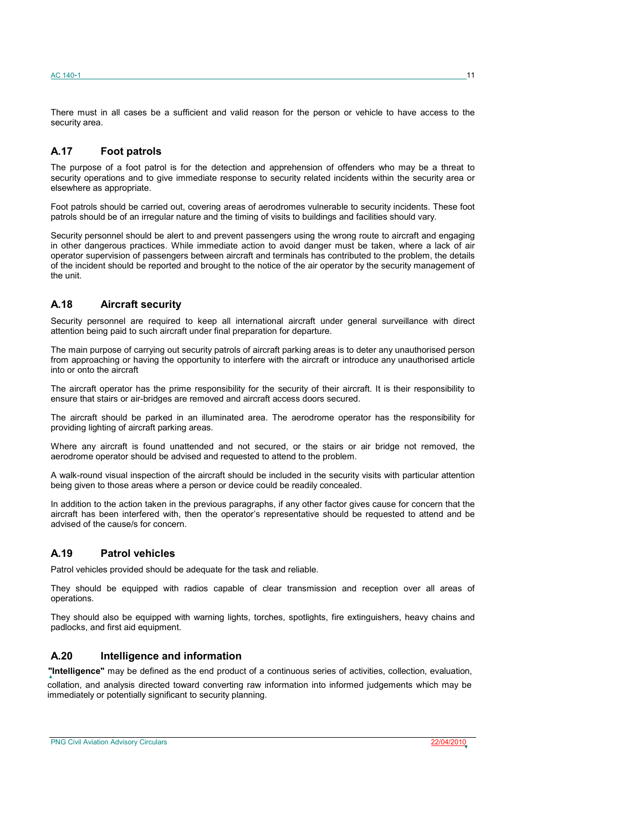There must in all cases be a sufficient and valid reason for the person or vehicle to have access to the security area.

#### **A.17 Foot patrols**

The purpose of a foot patrol is for the detection and apprehension of offenders who may be a threat to security operations and to give immediate response to security related incidents within the security area or elsewhere as appropriate.

Foot patrols should be carried out, covering areas of aerodromes vulnerable to security incidents. These foot patrols should be of an irregular nature and the timing of visits to buildings and facilities should vary.

Security personnel should be alert to and prevent passengers using the wrong route to aircraft and engaging in other dangerous practices. While immediate action to avoid danger must be taken, where a lack of air operator supervision of passengers between aircraft and terminals has contributed to the problem, the details of the incident should be reported and brought to the notice of the air operator by the security management of the unit.

#### **A.18 Aircraft security**

Security personnel are required to keep all international aircraft under general surveillance with direct attention being paid to such aircraft under final preparation for departure.

The main purpose of carrying out security patrols of aircraft parking areas is to deter any unauthorised person from approaching or having the opportunity to interfere with the aircraft or introduce any unauthorised article into or onto the aircraft

The aircraft operator has the prime responsibility for the security of their aircraft. It is their responsibility to ensure that stairs or air-bridges are removed and aircraft access doors secured.

The aircraft should be parked in an illuminated area. The aerodrome operator has the responsibility for providing lighting of aircraft parking areas.

Where any aircraft is found unattended and not secured, or the stairs or air bridge not removed, the aerodrome operator should be advised and requested to attend to the problem.

A walk-round visual inspection of the aircraft should be included in the security visits with particular attention being given to those areas where a person or device could be readily concealed.

In addition to the action taken in the previous paragraphs, if any other factor gives cause for concern that the aircraft has been interfered with, then the operator's representative should be requested to attend and be advised of the cause/s for concern.

#### **A.19 Patrol vehicles**

Patrol vehicles provided should be adequate for the task and reliable.

They should be equipped with radios capable of clear transmission and reception over all areas of operations.

They should also be equipped with warning lights, torches, spotlights, fire extinguishers, heavy chains and padlocks, and first aid equipment.

#### **A.20 Intelligence and information**

**"Intelligence"** may be defined as the end product of a continuous series of activities, collection, evaluation, collation, and analysis directed toward converting raw information into informed judgements which may be immediately or potentially significant to security planning.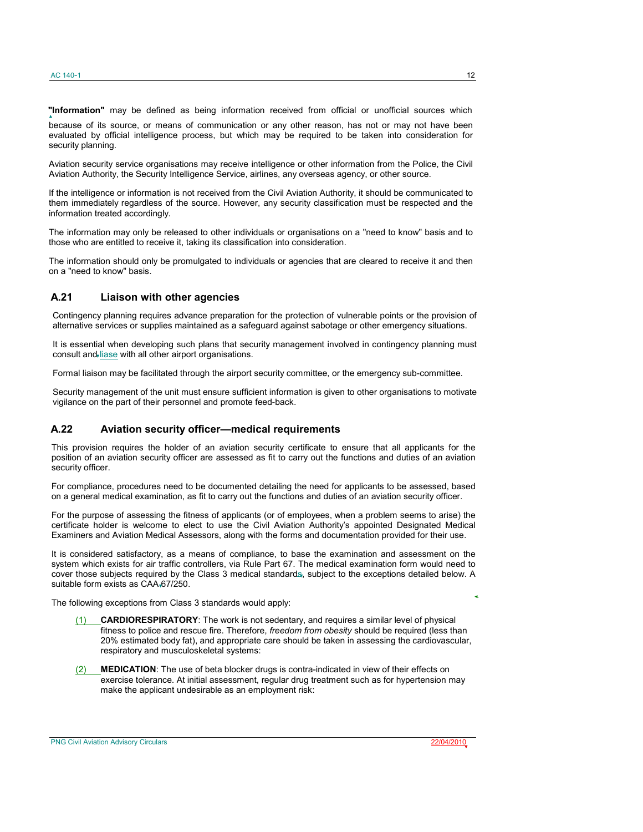**"Information"** may be defined as being information received from official or unofficial sources which

because of its source, or means of communication or any other reason, has not or may not have been evaluated by official intelligence process, but which may be required to be taken into consideration for security planning.

Aviation security service organisations may receive intelligence or other information from the Police, the Civil Aviation Authority, the Security Intelligence Service, airlines, any overseas agency, or other source.

If the intelligence or information is not received from the Civil Aviation Authority, it should be communicated to them immediately regardless of the source. However, any security classification must be respected and the information treated accordingly.

The information may only be released to other individuals or organisations on a "need to know" basis and to those who are entitled to receive it, taking its classification into consideration.

The information should only be promulgated to individuals or agencies that are cleared to receive it and then on a "need to know" basis.

#### **A.21 Liaison with other agencies**

Contingency planning requires advance preparation for the protection of vulnerable points or the provision of alternative services or supplies maintained as a safeguard against sabotage or other emergency situations.

It is essential when developing such plans that security management involved in contingency planning must consult and liase with all other airport organisations.

Formal liaison may be facilitated through the airport security committee, or the emergency sub-committee.

Security management of the unit must ensure sufficient information is given to other organisations to motivate vigilance on the part of their personnel and promote feed-back.

#### **A.22 Aviation security officer—medical requirements**

This provision requires the holder of an aviation security certificate to ensure that all applicants for the position of an aviation security officer are assessed as fit to carry out the functions and duties of an aviation security officer.

For compliance, procedures need to be documented detailing the need for applicants to be assessed, based on a general medical examination, as fit to carry out the functions and duties of an aviation security officer.

For the purpose of assessing the fitness of applicants (or of employees, when a problem seems to arise) the certificate holder is welcome to elect to use the Civil Aviation Authority's appointed Designated Medical Examiners and Aviation Medical Assessors, along with the forms and documentation provided for their use.

It is considered satisfactory, as a means of compliance, to base the examination and assessment on the system which exists for air traffic controllers, via Rule Part 67. The medical examination form would need to cover those subjects required by the Class 3 medical standards, subject to the exceptions detailed below. A suitable form exists as CAA 67/250.

The following exceptions from Class 3 standards would apply:

- CARDIORESPIRATORY: The work is not sedentary, and requires a similar level of physical fitness to police and rescue fire. Therefore, *freedom from obesity* should be required (less than 20% estimated body fat), and appropriate care should be taken in assessing the cardiovascular, respiratory and musculoskeletal systems:
- (2) **MEDICATION**: The use of beta blocker drugs is contra-indicated in view of their effects on exercise tolerance. At initial assessment, regular drug treatment such as for hypertension may make the applicant undesirable as an employment risk:

PNG Civil Aviation Advisory Circulars 22/04/2010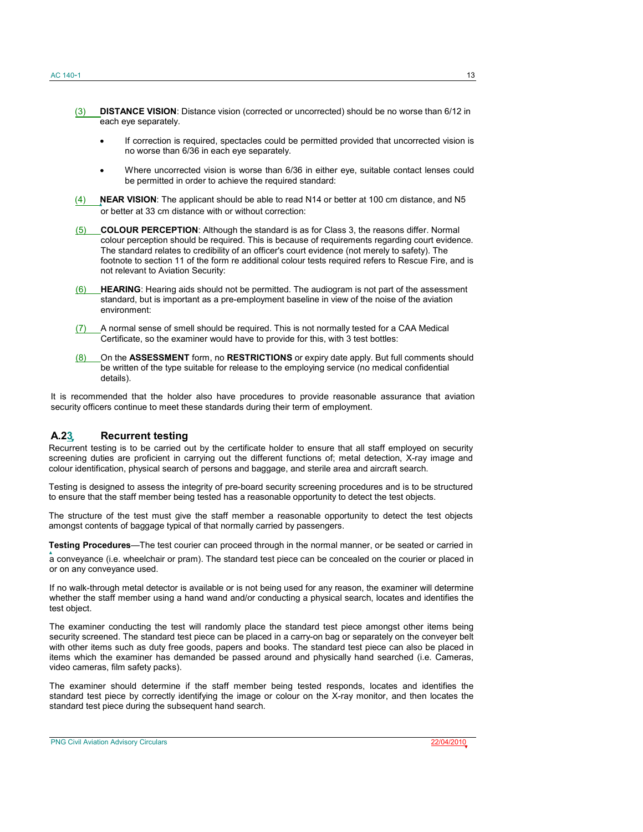- (3) **DISTANCE VISION**: Distance vision (corrected or uncorrected) should be no worse than 6/12 in each eye separately.
	- If correction is required, spectacles could be permitted provided that uncorrected vision is no worse than 6/36 in each eye separately.
	- Where uncorrected vision is worse than 6/36 in either eye, suitable contact lenses could be permitted in order to achieve the required standard:
- (4) **NEAR VISION**: The applicant should be able to read N14 or better at 100 cm distance, and N5 or better at 33 cm distance with or without correction:
- (5) **COLOUR PERCEPTION**: Although the standard is as for Class 3, the reasons differ. Normal colour perception should be required. This is because of requirements regarding court evidence. The standard relates to credibility of an officer's court evidence (not merely to safety). The footnote to section 11 of the form re additional colour tests required refers to Rescue Fire, and is not relevant to Aviation Security:
- (6) **HEARING**: Hearing aids should not be permitted. The audiogram is not part of the assessment standard, but is important as a pre-employment baseline in view of the noise of the aviation environment:
- (7) A normal sense of smell should be required. This is not normally tested for a CAA Medical Certificate, so the examiner would have to provide for this, with 3 test bottles:
- (8) On the **ASSESSMENT** form, no **RESTRICTIONS** or expiry date apply. But full comments should be written of the type suitable for release to the employing service (no medical confidential details).

It is recommended that the holder also have procedures to provide reasonable assurance that aviation security officers continue to meet these standards during their term of employment.

#### **A.23 Recurrent testing**

Recurrent testing is to be carried out by the certificate holder to ensure that all staff employed on security screening duties are proficient in carrying out the different functions of; metal detection, X-ray image and colour identification, physical search of persons and baggage, and sterile area and aircraft search.

Testing is designed to assess the integrity of pre-board security screening procedures and is to be structured to ensure that the staff member being tested has a reasonable opportunity to detect the test objects.

The structure of the test must give the staff member a reasonable opportunity to detect the test objects amongst contents of baggage typical of that normally carried by passengers.

**Testing Procedures**—The test courier can proceed through in the normal manner, or be seated or carried in

a conveyance (i.e. wheelchair or pram). The standard test piece can be concealed on the courier or placed in or on any conveyance used.

If no walk-through metal detector is available or is not being used for any reason, the examiner will determine whether the staff member using a hand wand and/or conducting a physical search, locates and identifies the test object.

The examiner conducting the test will randomly place the standard test piece amongst other items being security screened. The standard test piece can be placed in a carry-on bag or separately on the conveyer belt with other items such as duty free goods, papers and books. The standard test piece can also be placed in items which the examiner has demanded be passed around and physically hand searched (i.e. Cameras, video cameras, film safety packs).

The examiner should determine if the staff member being tested responds, locates and identifies the standard test piece by correctly identifying the image or colour on the X-ray monitor, and then locates the standard test piece during the subsequent hand search.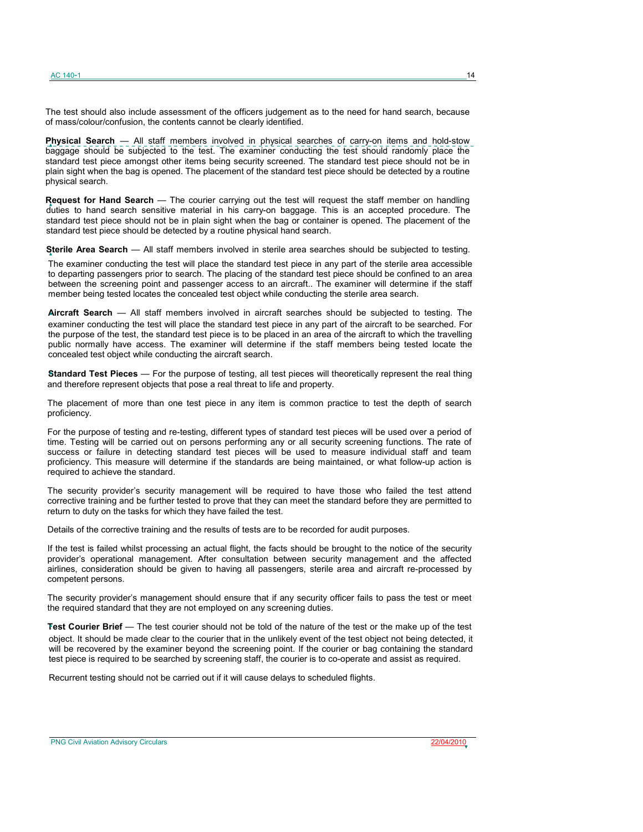The test should also include assessment of the officers judgement as to the need for hand search, because of mass/colour/confusion, the contents cannot be clearly identified.

**Physical Search** — All staff members involved in physical searches of carry-on items and hold-stow baggage should be subjected to the test. The examiner conducting the test should randomly place the standard test piece amongst other items being security screened. The standard test piece should not be in plain sight when the bag is opened. The placement of the standard test piece should be detected by a routine physical search.

**Request for Hand Search** — The courier carrying out the test will request the staff member on handling duties to hand search sensitive material in his carry-on baggage. This is an accepted procedure. The standard test piece should not be in plain sight when the bag or container is opened. The placement of the standard test piece should be detected by a routine physical hand search.

**Sterile Area Search** — All staff members involved in sterile area searches should be subjected to testing.

The examiner conducting the test will place the standard test piece in any part of the sterile area accessible to departing passengers prior to search. The placing of the standard test piece should be confined to an area between the screening point and passenger access to an aircraft.. The examiner will determine if the staff member being tested locates the concealed test object while conducting the sterile area search.

**Aircraft Search** — All staff members involved in aircraft searches should be subjected to testing. The examiner conducting the test will place the standard test piece in any part of the aircraft to be searched. For the purpose of the test, the standard test piece is to be placed in an area of the aircraft to which the travelling public normally have access. The examiner will determine if the staff members being tested locate the concealed test object while conducting the aircraft search.

**Standard Test Pieces** — For the purpose of testing, all test pieces will theoretically represent the real thing and therefore represent objects that pose a real threat to life and property.

The placement of more than one test piece in any item is common practice to test the depth of search proficiency.

For the purpose of testing and re-testing, different types of standard test pieces will be used over a period of time. Testing will be carried out on persons performing any or all security screening functions. The rate of success or failure in detecting standard test pieces will be used to measure individual staff and team proficiency. This measure will determine if the standards are being maintained, or what follow-up action is required to achieve the standard.

The security provider's security management will be required to have those who failed the test attend corrective training and be further tested to prove that they can meet the standard before they are permitted to return to duty on the tasks for which they have failed the test.

Details of the corrective training and the results of tests are to be recorded for audit purposes.

If the test is failed whilst processing an actual flight, the facts should be brought to the notice of the security provider's operational management. After consultation between security management and the affected airlines, consideration should be given to having all passengers, sterile area and aircraft re-processed by competent persons.

The security provider's management should ensure that if any security officer fails to pass the test or meet the required standard that they are not employed on any screening duties.

**Test Courier Brief** — The test courier should not be told of the nature of the test or the make up of the test object. It should be made clear to the courier that in the unlikely event of the test object not being detected, it will be recovered by the examiner beyond the screening point. If the courier or bag containing the standard test piece is required to be searched by screening staff, the courier is to co-operate and assist as required.

Recurrent testing should not be carried out if it will cause delays to scheduled flights.

PNG Civil Aviation Advisory Circulars 22/04/2010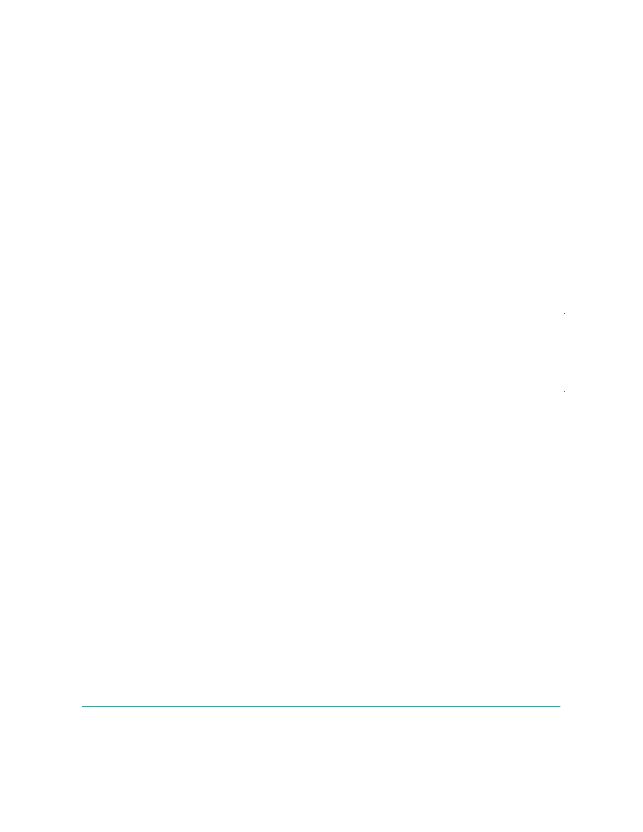$\mathcal{L}_{\text{max}}$  $\mathcal{L}^{\text{max}}_{\text{max}}$  , where  $\mathcal{L}^{\text{max}}_{\text{max}}$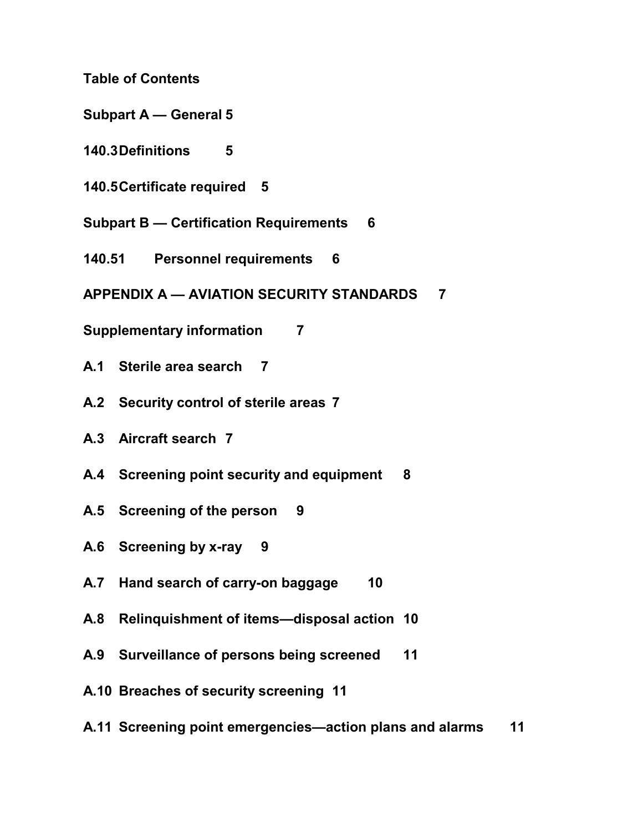**Table of Contents** 

**Subpart A — General 5** 

**140.3 Definitions 5** 

**140.5 Certificate required 5** 

**Subpart B — Certification Requirements 6** 

**140.51 Personnel requirements 6** 

**APPENDIX A — AVIATION SECURITY STANDARDS 7** 

**Supplementary information 7** 

- **A.1 Sterile area search 7**
- **A.2 Security control of sterile areas 7**
- **A.3 Aircraft search 7**
- **A.4 Screening point security and equipment 8**
- **A.5 Screening of the person 9**
- **A.6 Screening by x-ray 9**
- **A.7 Hand search of carry-on baggage 10**
- **A.8 Relinquishment of items—disposal action 10**
- **A.9 Surveillance of persons being screened 11**
- **A.10 Breaches of security screening 11**
- **A.11 Screening point emergencies—action plans and alarms 11**